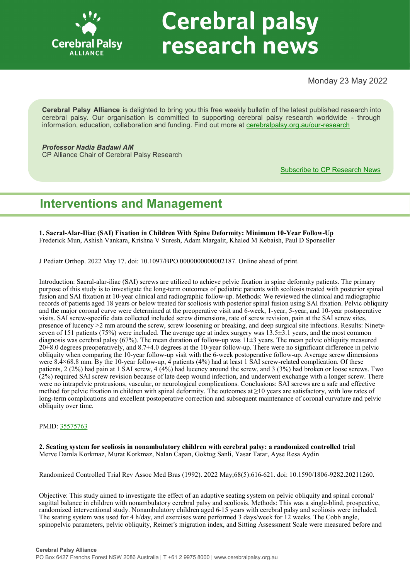

# **Cerebral palsy** research news

Monday 23 May 2022

**Cerebral Palsy Alliance** is delighted to bring you this free weekly bulletin of the latest published research into cerebral palsy. Our organisation is committed to supporting cerebral palsy research worldwide - through information, education, collaboration and funding. Find out more at [cerebralpalsy.org.au/our](https://cerebralpalsy.org.au/our-research/)-research

*Professor Nadia Badawi AM* CP Alliance Chair of Cerebral Palsy Research

[Subscribe to CP Research News](https://cerebralpalsy.org.au/our-research/get-involved-research/cp-research-newsletters/)

# **Interventions and Management**

**1. Sacral-Alar-Iliac (SAI) Fixation in Children With Spine Deformity: Minimum 10-Year Follow-Up** Frederick Mun, Ashish Vankara, Krishna V Suresh, Adam Margalit, Khaled M Kebaish, Paul D Sponseller

J Pediatr Orthop. 2022 May 17. doi: 10.1097/BPO.0000000000002187. Online ahead of print.

Introduction: Sacral-alar-iliac (SAI) screws are utilized to achieve pelvic fixation in spine deformity patients. The primary purpose of this study is to investigate the long-term outcomes of pediatric patients with scoliosis treated with posterior spinal fusion and SAI fixation at 10-year clinical and radiographic follow-up. Methods: We reviewed the clinical and radiographic records of patients aged 18 years or below treated for scoliosis with posterior spinal fusion using SAI fixation. Pelvic obliquity and the major coronal curve were determined at the preoperative visit and 6-week, 1-year, 5-year, and 10-year postoperative visits. SAI screw-specific data collected included screw dimensions, rate of screw revision, pain at the SAI screw sites, presence of lucency >2 mm around the screw, screw loosening or breaking, and deep surgical site infections. Results: Ninetyseven of 151 patients (75%) were included. The average age at index surgery was 13.5±3.1 years, and the most common diagnosis was cerebral palsy (67%). The mean duration of follow-up was 11±3 years. The mean pelvic obliquity measured  $20\pm8.0$  degrees preoperatively, and  $8.7\pm4.0$  degrees at the 10-year follow-up. There were no significant difference in pelvic obliquity when comparing the 10-year follow-up visit with the 6-week postoperative follow-up. Average screw dimensions were 8.4×68.8 mm. By the 10-year follow-up, 4 patients (4%) had at least 1 SAI screw-related complication. Of these patients, 2 (2%) had pain at 1 SAI screw, 4 (4%) had lucency around the screw, and 3 (3%) had broken or loose screws. Two (2%) required SAI screw revision because of late deep wound infection, and underwent exchange with a longer screw. There were no intrapelvic protrusions, vascular, or neurological complications. Conclusions: SAI screws are a safe and effective method for pelvic fixation in children with spinal deformity. The outcomes at ≥10 years are satisfactory, with low rates of long-term complications and excellent postoperative correction and subsequent maintenance of coronal curvature and pelvic obliquity over time.

# PMID: [35575763](http://www.ncbi.nlm.nih.gov/pubmed/35575763)

**2. Seating system for scoliosis in nonambulatory children with cerebral palsy: a randomized controlled trial** Merve Damla Korkmaz, Murat Korkmaz, Nalan Capan, Goktug Sanli, Yasar Tatar, Ayse Resa Aydin

Randomized Controlled Trial Rev Assoc Med Bras (1992). 2022 May;68(5):616-621. doi: 10.1590/1806-9282.20211260.

Objective: This study aimed to investigate the effect of an adaptive seating system on pelvic obliquity and spinal coronal/ sagittal balance in children with nonambulatory cerebral palsy and scoliosis. Methods: This was a single-blind, prospective, randomized interventional study. Nonambulatory children aged 6-15 years with cerebral palsy and scoliosis were included. The seating system was used for 4 h/day, and exercises were performed 3 days/week for 12 weeks. The Cobb angle, spinopelvic parameters, pelvic obliquity, Reimer's migration index, and Sitting Assessment Scale were measured before and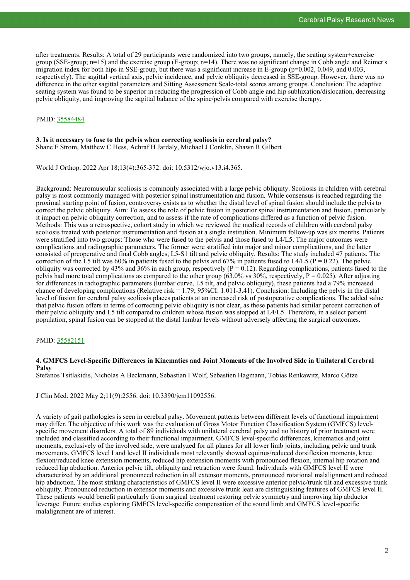after treatments. Results: A total of 29 participants were randomized into two groups, namely, the seating system+exercise group (SSE-group; n=15) and the exercise group (E-group; n=14). There was no significant change in Cobb angle and Reimer's migration index for both hips in SSE-group, but there was a significant increase in  $\bar{E}$ -group (p=0.002, 0.049, and 0.003, respectively). The sagittal vertical axis, pelvic incidence, and pelvic obliquity decreased in SSE-group. However, there was no difference in the other sagittal parameters and Sitting Assessment Scale-total scores among groups. Conclusion: The adaptive seating system was found to be superior in reducing the progression of Cobb angle and hip subluxation/dislocation, decreasing pelvic obliquity, and improving the sagittal balance of the spine/pelvis compared with exercise therapy.

# PMID: [35584484](http://www.ncbi.nlm.nih.gov/pubmed/35584484)

# **3. Is it necessary to fuse to the pelvis when correcting scoliosis in cerebral palsy?**

Shane F Strom, Matthew C Hess, Achraf H Jardaly, Michael J Conklin, Shawn R Gilbert

World J Orthop. 2022 Apr 18;13(4):365-372. doi: 10.5312/wjo.v13.i4.365.

Background: Neuromuscular scoliosis is commonly associated with a large pelvic obliquity. Scoliosis in children with cerebral palsy is most commonly managed with posterior spinal instrumentation and fusion. While consensus is reached regarding the proximal starting point of fusion, controversy exists as to whether the distal level of spinal fusion should include the pelvis to correct the pelvic obliquity. Aim: To assess the role of pelvic fusion in posterior spinal instrumentation and fusion, particularly it impact on pelvic obliquity correction, and to assess if the rate of complications differed as a function of pelvic fusion. Methods: This was a retrospective, cohort study in which we reviewed the medical records of children with cerebral palsy scoliosis treated with posterior instrumentation and fusion at a single institution. Minimum follow-up was six months. Patients were stratified into two groups: Those who were fused to the pelvis and those fused to L4/L5. The major outcomes were complications and radiographic parameters. The former were stratified into major and minor complications, and the latter consisted of preoperative and final Cobb angles, L5-S1 tilt and pelvic obliquity. Results: The study included 47 patients. The correction of the L5 tilt was 60% in patients fused to the pelvis and 67% in patients fused to L4/L5 ( $P = 0.22$ ). The pelvic obliquity was corrected by 43% and 36% in each group, respectively ( $P = 0.12$ ). Regarding complications, patients fused to the pelvis had more total complications as compared to the other group (63.0% vs 30%, respectively,  $P = 0.025$ ). After adjusting for differences in radiographic parameters (lumbar curve, L5 tilt, and pelvic obliquity), these patients had a 79% increased chance of developing complications (Relative risk  $= 1.79$ ; 95%CI: 1.011-3.41). Conclusion: Including the pelvis in the distal level of fusion for cerebral palsy scoliosis places patients at an increased risk of postoperative complications. The added value that pelvic fusion offers in terms of correcting pelvic obliquity is not clear, as these patients had similar percent correction of their pelvic obliquity and L5 tilt compared to children whose fusion was stopped at L4/L5. Therefore, in a select patient population, spinal fusion can be stopped at the distal lumbar levels without adversely affecting the surgical outcomes.

# PMID: [35582151](http://www.ncbi.nlm.nih.gov/pubmed/35582151)

#### **4. GMFCS Level-Specific Differences in Kinematics and Joint Moments of the Involved Side in Unilateral Cerebral Palsy**

Stefanos Tsitlakidis, Nicholas A Beckmann, Sebastian I Wolf, Sébastien Hagmann, Tobias Renkawitz, Marco Götze

J Clin Med. 2022 May 2;11(9):2556. doi: 10.3390/jcm11092556.

A variety of gait pathologies is seen in cerebral palsy. Movement patterns between different levels of functional impairment may differ. The objective of this work was the evaluation of Gross Motor Function Classification System (GMFCS) levelspecific movement disorders. A total of 89 individuals with unilateral cerebral palsy and no history of prior treatment were included and classified according to their functional impairment. GMFCS level-specific differences, kinematics and joint moments, exclusively of the involved side, were analyzed for all planes for all lower limb joints, including pelvic and trunk movements. GMFCS level I and level II individuals most relevantly showed equinus/reduced dorsiflexion moments, knee flexion/reduced knee extension moments, reduced hip extension moments with pronounced flexion, internal hip rotation and reduced hip abduction. Anterior pelvic tilt, obliquity and retraction were found. Individuals with GMFCS level II were characterized by an additional pronounced reduction in all extensor moments, pronounced rotational malalignment and reduced hip abduction. The most striking characteristics of GMFCS level II were excessive anterior pelvic/trunk tilt and excessive trunk obliquity. Pronounced reduction in extensor moments and excessive trunk lean are distinguishing features of GMFCS level II. These patients would benefit particularly from surgical treatment restoring pelvic symmetry and improving hip abductor leverage. Future studies exploring GMFCS level-specific compensation of the sound limb and GMFCS level-specific malalignment are of interest.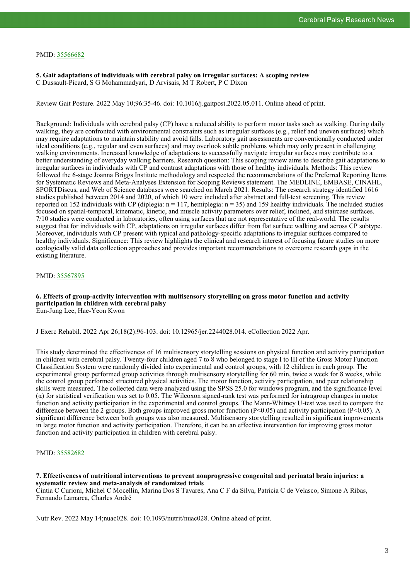#### PMID: [35566682](http://www.ncbi.nlm.nih.gov/pubmed/35566682)

**5. Gait adaptations of individuals with cerebral palsy on irregular surfaces: A scoping review** C Dussault-Picard, S G Mohammadyari, D Arvisais, M T Robert, P C Dixon

Review Gait Posture. 2022 May 10;96:35-46. doi: 10.1016/j.gaitpost.2022.05.011. Online ahead of print.

Background: Individuals with cerebral palsy (CP) have a reduced ability to perform motor tasks such as walking. During daily walking, they are confronted with environmental constraints such as irregular surfaces (e.g., relief and uneven surfaces) which may require adaptations to maintain stability and avoid falls. Laboratory gait assessments are conventionally conducted under ideal conditions (e.g., regular and even surfaces) and may overlook subtle problems which may only present in challenging walking environments. Increased knowledge of adaptations to successfully navigate irregular surfaces may contribute to a better understanding of everyday walking barriers. Research question: This scoping review aims to describe gait adaptations to irregular surfaces in individuals with CP and contrast adaptations with those of healthy individuals. Methods: This review followed the 6-stage Joanna Briggs Institute methodology and respected the recommendations of the Preferred Reporting Items for Systematic Reviews and Meta-Analyses Extension for Scoping Reviews statement. The MEDLINE, EMBASE, CINAHL, SPORTDiscus, and Web of Science databases were searched on March 2021. Results: The research strategy identified 1616 studies published between 2014 and 2020, of which 10 were included after abstract and full-text screening. This review reported on 152 individuals with CP (diplegia:  $n = 117$ , hemiplegia:  $n = 35$ ) and 159 healthy individuals. The included studies focused on spatial-temporal, kinematic, kinetic, and muscle activity parameters over relief, inclined, and staircase surfaces. 7/10 studies were conducted in laboratories, often using surfaces that are not representative of the real-world. The results suggest that for individuals with CP, adaptations on irregular surfaces differ from flat surface walking and across CP subtype. Moreover, individuals with CP present with typical and pathology-specific adaptations to irregular surfaces compared to healthy individuals. Significance: This review highlights the clinical and research interest of focusing future studies on more ecologically valid data collection approaches and provides important recommendations to overcome research gaps in the existing literature.

#### PMID: [35567895](http://www.ncbi.nlm.nih.gov/pubmed/35567895)

#### **6. Effects of group-activity intervention with multisensory storytelling on gross motor function and activity participation in children with cerebral palsy** Eun-Jung Lee, Hae-Yeon Kwon

J Exerc Rehabil. 2022 Apr 26;18(2):96-103. doi: 10.12965/jer.2244028.014. eCollection 2022 Apr.

This study determined the effectiveness of 16 multisensory storytelling sessions on physical function and activity participation in children with cerebral palsy. Twenty-four children aged 7 to 8 who belonged to stage I to III of the Gross Motor Function Classification System were randomly divided into experimental and control groups, with 12 children in each group. The experimental group performed group activities through multisensory storytelling for 60 min, twice a week for 8 weeks, while the control group performed structured physical activities. The motor function, activity participation, and peer relationship skills were measured. The collected data were analyzed using the SPSS 25.0 for windows program, and the significance level (α) for statistical verification was set to 0.05. The Wilcoxon signed-rank test was performed for intragroup changes in motor function and activity participation in the experimental and control groups. The Mann-Whitney U-test was used to compare the difference between the 2 groups. Both groups improved gross motor function (P<0.05) and activity participation (P<0.05). A significant difference between both groups was also measured. Multisensory storytelling resulted in significant improvements in large motor function and activity participation. Therefore, it can be an effective intervention for improving gross motor function and activity participation in children with cerebral palsy.

# PMID: [35582682](http://www.ncbi.nlm.nih.gov/pubmed/35582682)

#### **7. Effectiveness of nutritional interventions to prevent nonprogressive congenital and perinatal brain injuries: a systematic review and meta-analysis of randomized trials**

Cintia C Curioni, Michel C Mocellin, Marina Dos S Tavares, Ana C F da Silva, Patricia C de Velasco, Simone A Ribas, Fernando Lamarca, Charles André

Nutr Rev. 2022 May 14;nuac028. doi: 10.1093/nutrit/nuac028. Online ahead of print.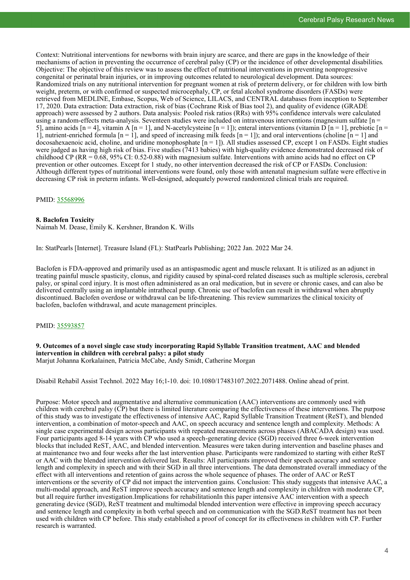Context: Nutritional interventions for newborns with brain injury are scarce, and there are gaps in the knowledge of their mechanisms of action in preventing the occurrence of cerebral palsy (CP) or the incidence of other developmental disabilities. Objective: The objective of this review was to assess the effect of nutritional interventions in preventing nonprogressive congenital or perinatal brain injuries, or in improving outcomes related to neurological development. Data sources: Randomized trials on any nutritional intervention for pregnant women at risk of preterm delivery, or for children with low birth weight, preterm, or with confirmed or suspected microcephaly, CP, or fetal alcohol syndrome disorders (FASDs) were retrieved from MEDLINE, Embase, Scopus, Web of Science, LILACS, and CENTRAL databases from inception to September 17, 2020. Data extraction: Data extraction, risk of bias (Cochrane Risk of Bias tool 2), and quality of evidence (GRADE approach) were assessed by 2 authors. Data analysis: Pooled risk ratios (RRs) with 95% confidence intervals were calculated using a random-effects meta-analysis. Seventeen studies were included on intravenous interventions (magnesium sulfate [n = 5], amino acids  $[n = 4]$ , vitamin A  $[n = 1]$ , and N-acetylcysteine  $[n = 1]$ ); enteral interventions (vitamin D  $[n = 1]$ , prebiotic  $[n = 1]$ 1], nutrient-enriched formula  $[n = 1]$ , and speed of increasing milk feeds  $[n = 1]$ ; and oral interventions (choline  $[n = 1]$  and docosahexaenoic acid, choline, and uridine monophosphate  $[n = 1]$ ). All studies assessed CP, except 1 on FASDs. Eight studies were judged as having high risk of bias. Five studies (7413 babies) with high-quality evidence demonstrated decreased risk of childhood CP (RR =  $0.68$ , 95% CI: 0.52-0.88) with magnesium sulfate. Interventions with amino acids had no effect on CP prevention or other outcomes. Except for 1 study, no other intervention decreased the risk of CP or FASDs. Conclusion: Although different types of nutritional interventions were found, only those with antenatal magnesium sulfate were effective in decreasing CP risk in preterm infants. Well-designed, adequately powered randomized clinical trials are required.

# PMID: [35568996](http://www.ncbi.nlm.nih.gov/pubmed/35568996)

# **8. Baclofen Toxicity**

Naimah M. Dease, Emily K. Kershner, Brandon K. Wills

In: StatPearls [Internet]. Treasure Island (FL): StatPearls Publishing; 2022 Jan. 2022 Mar 24.

Baclofen is FDA-approved and primarily used as an antispasmodic agent and muscle relaxant. It is utilized as an adjunct in treating painful muscle spasticity, clonus, and rigidity caused by spinal-cord related diseases such as multiple sclerosis, cerebral palsy, or spinal cord injury. It is most often administered as an oral medication, but in severe or chronic cases, and can also be delivered centrally using an implantable intrathecal pump. Chronic use of baclofen can result in withdrawal when abruptly discontinued. Baclofen overdose or withdrawal can be life-threatening. This review summarizes the clinical toxicity of baclofen, baclofen withdrawal, and acute management principles.

# PMID: [35593857](http://www.ncbi.nlm.nih.gov/pubmed/35593857)

# **9. Outcomes of a novel single case study incorporating Rapid Syllable Transition treatment, AAC and blended intervention in children with cerebral palsy: a pilot study**

Marjut Johanna Korkalainen, Patricia McCabe, Andy Smidt, Catherine Morgan

Disabil Rehabil Assist Technol. 2022 May 16;1-10. doi: 10.1080/17483107.2022.2071488. Online ahead of print.

Purpose: Motor speech and augmentative and alternative communication (AAC) interventions are commonly used with children with cerebral palsy (CP) but there is limited literature comparing the effectiveness of these interventions. The purpose of this study was to investigate the effectiveness of intensive AAC, Rapid Syllable Transition Treatment (ReST), and blended intervention, a combination of motor-speech and AAC, on speech accuracy and sentence length and complexity. Methods: A single case experimental design across participants with repeated measurements across phases (ABACADA design) was used. Four participants aged 8-14 years with CP who used a speech-generating device (SGD) received three 6-week intervention blocks that included ReST, AAC, and blended intervention. Measures were taken during intervention and baseline phases and at maintenance two and four weeks after the last intervention phase. Participants were randomized to starting with either ReST or AAC with the blended intervention delivered last. Results: All participants improved their speech accuracy and sentence length and complexity in speech and with their SGD in all three interventions. The data demonstrated overall immediacy of the effect with all interventions and retention of gains across the whole sequence of phases. The order of AAC or ReST interventions or the severity of CP did not impact the intervention gains. Conclusion: This study suggests that intensive AAC, a multi-modal approach, and ReST improve speech accuracy and sentence length and complexity in children with moderate CP, but all require further investigation.Implications for rehabilitationIn this paper intensive AAC intervention with a speech generating device (SGD), ReST treatment and multimodal blended intervention were effective in improving speech accuracy and sentence length and complexity in both verbal speech and on communication with the SGD.ReST treatment has not been used with children with CP before. This study established a proof of concept for its effectiveness in children with CP. Further research is warranted.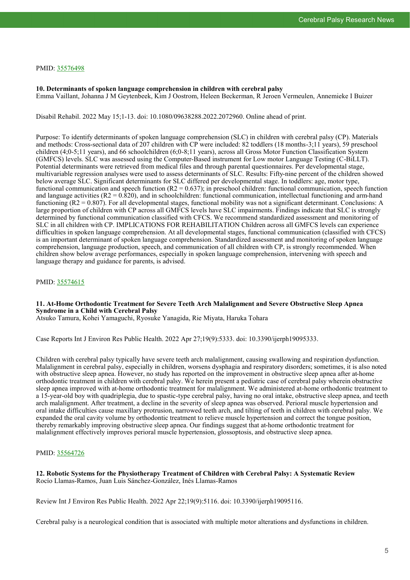# PMID: [35576498](http://www.ncbi.nlm.nih.gov/pubmed/35576498)

**10. Determinants of spoken language comprehension in children with cerebral palsy** Emma Vaillant, Johanna J M Geytenbeek, Kim J Oostrom, Heleen Beckerman, R Jeroen Vermeulen, Annemieke I Buizer

Disabil Rehabil. 2022 May 15;1-13. doi: 10.1080/09638288.2022.2072960. Online ahead of print.

Purpose: To identify determinants of spoken language comprehension (SLC) in children with cerebral palsy (CP). Materials and methods: Cross-sectional data of 207 children with CP were included: 82 toddlers (18 months-3;11 years), 59 preschool children (4;0-5;11 years), and 66 schoolchildren (6;0-8;11 years), across all Gross Motor Function Classification System (GMFCS) levels. SLC was assessed using the Computer-Based instrument for Low motor Language Testing (C-BiLLT). Potential determinants were retrieved from medical files and through parental questionnaires. Per developmental stage, multivariable regression analyses were used to assess determinants of SLC. Results: Fifty-nine percent of the children showed below average SLC. Significant determinants for SLC differed per developmental stage. In toddlers: age, motor type, functional communication and speech function  $(R2 = 0.637)$ ; in preschool children: functional communication, speech function and language activities  $(R2 = 0.820)$ , and in schoolchildren: functional communication, intellectual functioning and arm-hand functioning (R2 = 0.807). For all developmental stages, functional mobility was not a significant determinant. Conclusions: A large proportion of children with CP across all GMFCS levels have SLC impairments. Findings indicate that SLC is strongly determined by functional communication classified with CFCS. We recommend standardized assessment and monitoring of SLC in all children with CP. IMPLICATIONS FOR REHABILITATION Children across all GMFCS levels can experience difficulties in spoken language comprehension. At all developmental stages, functional communication (classified with CFCS) is an important determinant of spoken language comprehension. Standardized assessment and monitoring of spoken language comprehension, language production, speech, and communication of all children with CP, is strongly recommended. When children show below average performances, especially in spoken language comprehension, intervening with speech and language therapy and guidance for parents, is advised.

# PMID: [35574615](http://www.ncbi.nlm.nih.gov/pubmed/35574615)

# **11. At-Home Orthodontic Treatment for Severe Teeth Arch Malalignment and Severe Obstructive Sleep Apnea Syndrome in a Child with Cerebral Palsy**

Atsuko Tamura, Kohei Yamaguchi, Ryosuke Yanagida, Rie Miyata, Haruka Tohara

Case Reports Int J Environ Res Public Health. 2022 Apr 27;19(9):5333. doi: 10.3390/ijerph19095333.

Children with cerebral palsy typically have severe teeth arch malalignment, causing swallowing and respiration dysfunction. Malalignment in cerebral palsy, especially in children, worsens dysphagia and respiratory disorders; sometimes, it is also noted with obstructive sleep apnea. However, no study has reported on the improvement in obstructive sleep apnea after at-home orthodontic treatment in children with cerebral palsy. We herein present a pediatric case of cerebral palsy wherein obstructive sleep apnea improved with at-home orthodontic treatment for malalignment. We administered at-home orthodontic treatment to a 15-year-old boy with quadriplegia, due to spastic-type cerebral palsy, having no oral intake, obstructive sleep apnea, and teeth arch malalignment. After treatment, a decline in the severity of sleep apnea was observed. Perioral muscle hypertension and oral intake difficulties cause maxillary protrusion, narrowed teeth arch, and tilting of teeth in children with cerebral palsy. We expanded the oral cavity volume by orthodontic treatment to relieve muscle hypertension and correct the tongue position, thereby remarkably improving obstructive sleep apnea. Our findings suggest that at-home orthodontic treatment for malalignment effectively improves perioral muscle hypertension, glossoptosis, and obstructive sleep apnea.

# PMID: [35564726](http://www.ncbi.nlm.nih.gov/pubmed/35564726)

**12. Robotic Systems for the Physiotherapy Treatment of Children with Cerebral Palsy: A Systematic Review** Rocío Llamas-Ramos, Juan Luis Sánchez-González, Inés Llamas-Ramos

Review Int J Environ Res Public Health. 2022 Apr 22;19(9):5116. doi: 10.3390/ijerph19095116.

Cerebral palsy is a neurological condition that is associated with multiple motor alterations and dysfunctions in children.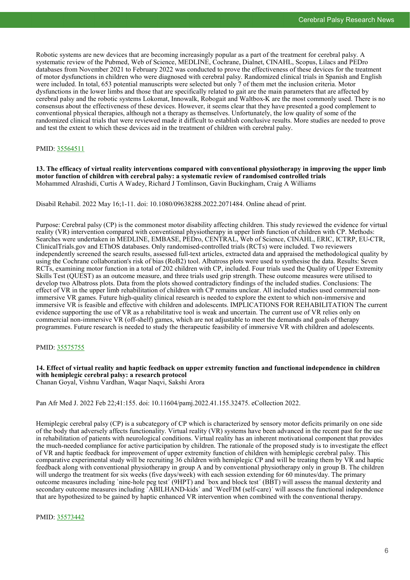Robotic systems are new devices that are becoming increasingly popular as a part of the treatment for cerebral palsy. A systematic review of the Pubmed, Web of Science, MEDLINE, Cochrane, Dialnet, CINAHL, Scopus, Lilacs and PEDro databases from November 2021 to February 2022 was conducted to prove the effectiveness of these devices for the treatment of motor dysfunctions in children who were diagnosed with cerebral palsy. Randomized clinical trials in Spanish and English were included. In total, 653 potential manuscripts were selected but only 7 of them met the inclusion criteria. Motor dysfunctions in the lower limbs and those that are specifically related to gait are the main parameters that are affected by cerebral palsy and the robotic systems Lokomat, Innowalk, Robogait and Waltbox-K are the most commonly used. There is no consensus about the effectiveness of these devices. However, it seems clear that they have presented a good complement to conventional physical therapies, although not a therapy as themselves. Unfortunately, the low quality of some of the randomized clinical trials that were reviewed made it difficult to establish conclusive results. More studies are needed to prove and test the extent to which these devices aid in the treatment of children with cerebral palsy.

# PMID: [35564511](http://www.ncbi.nlm.nih.gov/pubmed/35564511)

**13. The efficacy of virtual reality interventions compared with conventional physiotherapy in improving the upper limb motor function of children with cerebral palsy: a systematic review of randomised controlled trials** Mohammed Alrashidi, Curtis A Wadey, Richard J Tomlinson, Gavin Buckingham, Craig A Williams

Disabil Rehabil. 2022 May 16;1-11. doi: 10.1080/09638288.2022.2071484. Online ahead of print.

Purpose: Cerebral palsy (CP) is the commonest motor disability affecting children. This study reviewed the evidence for virtual reality (VR) intervention compared with conventional physiotherapy in upper limb function of children with CP. Methods: Searches were undertaken in MEDLINE, EMBASE, PEDro, CENTRAL, Web of Science, CINAHL, ERIC, ICTRP, EU-CTR, ClinicalTrials.gov and EThOS databases. Only randomised-controlled trials (RCTs) were included. Two reviewers independently screened the search results, assessed full-text articles, extracted data and appraised the methodological quality by using the Cochrane collaboration's risk of bias (RoB2) tool. Albatross plots were used to synthesise the data. Results: Seven RCTs, examining motor function in a total of 202 children with CP, included. Four trials used the Quality of Upper Extremity Skills Test (QUEST) as an outcome measure, and three trials used grip strength. These outcome measures were utilised to develop two Albatross plots. Data from the plots showed contradictory findings of the included studies. Conclusions: The effect of VR in the upper limb rehabilitation of children with CP remains unclear. All included studies used commercial nonimmersive VR games. Future high-quality clinical research is needed to explore the extent to which non-immersive and immersive VR is feasible and effective with children and adolescents. IMPLICATIONS FOR REHABILITATION The current evidence supporting the use of VR as a rehabilitative tool is weak and uncertain. The current use of VR relies only on commercial non-immersive VR (off-shelf) games, which are not adjustable to meet the demands and goals of therapy programmes. Future research is needed to study the therapeutic feasibility of immersive VR with children and adolescents.

PMID: [35575755](http://www.ncbi.nlm.nih.gov/pubmed/35575755)

#### **14. Effect of virtual reality and haptic feedback on upper extremity function and functional independence in children with hemiplegic cerebral palsy: a research protocol**

Chanan Goyal, Vishnu Vardhan, Waqar Naqvi, Sakshi Arora

Pan Afr Med J. 2022 Feb 22;41:155. doi: 10.11604/pamj.2022.41.155.32475. eCollection 2022.

Hemiplegic cerebral palsy (CP) is a subcategory of CP which is characterized by sensory motor deficits primarily on one side of the body that adversely affects functionality. Virtual reality (VR) systems have been advanced in the recent past for the use in rehabilitation of patients with neurological conditions. Virtual reality has an inherent motivational component that provides the much-needed compliance for active participation by children. The rationale of the proposed study is to investigate the effect of VR and haptic feedback for improvement of upper extremity function of children with hemiplegic cerebral palsy. This comparative experimental study will be recruiting 36 children with hemiplegic CP and will be treating them by VR and haptic feedback along with conventional physiotherapy in group A and by conventional physiotherapy only in group B. The children will undergo the treatment for six weeks (five days/week) with each session extending for 60 minutes/day. The primary outcome measures including `nine-hole peg test´ (9HPT) and `box and block test´ (BBT) will assess the manual dexterity and secondary outcome measures including `ABILHAND-kids´ and `WeeFIM (self-care)´ will assess the functional independence that are hypothesized to be gained by haptic enhanced VR intervention when combined with the conventional therapy.

PMID: [35573442](http://www.ncbi.nlm.nih.gov/pubmed/35573442)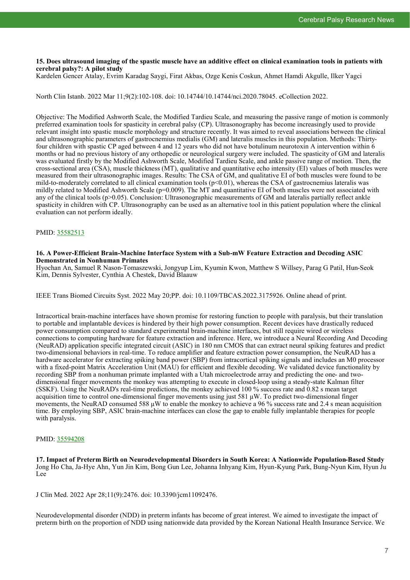#### **15. Does ultrasound imaging of the spastic muscle have an additive effect on clinical examination tools in patients with cerebral palsy?: A pilot study**

Kardelen Gencer Atalay, Evrim Karadag Saygi, Firat Akbas, Ozge Kenis Coskun, Ahmet Hamdi Akgulle, Ilker Yagci

North Clin Istanb. 2022 Mar 11;9(2):102-108. doi: 10.14744/10.14744/nci.2020.78045. eCollection 2022.

Objective: The Modified Ashworth Scale, the Modified Tardieu Scale, and measuring the passive range of motion is commonly preferred examination tools for spasticity in cerebral palsy (CP). Ultrasonography has become increasingly used to provide relevant insight into spastic muscle morphology and structure recently. It was aimed to reveal associations between the clinical and ultrasonographic parameters of gastrocnemius medialis (GM) and lateralis muscles in this population. Methods: Thirtyfour children with spastic CP aged between 4 and 12 years who did not have botulinum neurotoxin A intervention within 6 months or had no previous history of any orthopedic or neurological surgery were included. The spasticity of GM and lateralis was evaluated firstly by the Modified Ashworth Scale, Modified Tardieu Scale, and ankle passive range of motion. Then, the cross-sectional area (CSA), muscle thickness (MT), qualitative and quantitative echo intensity (EI) values of both muscles were measured from their ultrasonographic images. Results: The CSA of GM, and qualitative EI of both muscles were found to be mild-to-moderately correlated to all clinical examination tools (p<0.01), whereas the CSA of gastrocnemius lateralis was mildly related to Modified Ashworth Scale ( $p=0.009$ ). The MT and quantitative EI of both muscles were not associated with any of the clinical tools (p>0.05). Conclusion: Ultrasonographic measurements of GM and lateralis partially reflect ankle spasticity in children with CP. Ultrasonography can be used as an alternative tool in this patient population where the clinical evaluation can not perform ideally.

# PMID: [35582513](http://www.ncbi.nlm.nih.gov/pubmed/35582513)

#### **16. A Power-Efficient Brain-Machine Interface System with a Sub-mW Feature Extraction and Decoding ASIC Demonstrated in Nonhuman Primates**

Hyochan An, Samuel R Nason-Tomaszewski, Jongyup Lim, Kyumin Kwon, Matthew S Willsey, Parag G Patil, Hun-Seok Kim, Dennis Sylvester, Cynthia A Chestek, David Blaauw

IEEE Trans Biomed Circuits Syst. 2022 May 20;PP. doi: 10.1109/TBCAS.2022.3175926. Online ahead of print.

Intracortical brain-machine interfaces have shown promise for restoring function to people with paralysis, but their translation to portable and implantable devices is hindered by their high power consumption. Recent devices have drastically reduced power consumption compared to standard experimental brain-machine interfaces, but still require wired or wireless connections to computing hardware for feature extraction and inference. Here, we introduce a Neural Recording And Decoding (NeuRAD) application specific integrated circuit (ASIC) in 180 nm CMOS that can extract neural spiking features and predict two-dimensional behaviors in real-time. To reduce amplifier and feature extraction power consumption, the NeuRAD has a hardware accelerator for extracting spiking band power (SBP) from intracortical spiking signals and includes an M0 processor with a fixed-point Matrix Acceleration Unit (MAU) for efficient and flexible decoding. We validated device functionality by recording SBP from a nonhuman primate implanted with a Utah microelectrode array and predicting the one- and twodimensional finger movements the monkey was attempting to execute in closed-loop using a steady-state Kalman filter (SSKF). Using the NeuRAD's real-time predictions, the monkey achieved 100 % success rate and 0.82 s mean target acquisition time to control one-dimensional finger movements using just 581 μW. To predict two-dimensional finger movements, the NeuRAD consumed 588  $\mu$ W to enable the monkey to achieve a 96 % success rate and 2.4 s mean acquisition time. By employing SBP, ASIC brain-machine interfaces can close the gap to enable fully implantable therapies for people with paralysis.

# PMID: [35594208](http://www.ncbi.nlm.nih.gov/pubmed/35594208)

**17. Impact of Preterm Birth on Neurodevelopmental Disorders in South Korea: A Nationwide Population-Based Study** Jong Ho Cha, Ja-Hye Ahn, Yun Jin Kim, Bong Gun Lee, Johanna Inhyang Kim, Hyun-Kyung Park, Bung-Nyun Kim, Hyun Ju Lee

J Clin Med. 2022 Apr 28;11(9):2476. doi: 10.3390/jcm11092476.

Neurodevelopmental disorder (NDD) in preterm infants has become of great interest. We aimed to investigate the impact of preterm birth on the proportion of NDD using nationwide data provided by the Korean National Health Insurance Service. We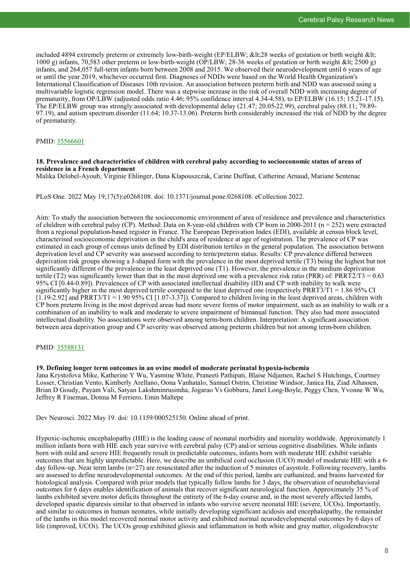included 4894 extremely preterm or extremely low-birth-weight (EP/ELBW; <28 weeks of gestation or birth weight &lt; 1000 g) infants, 70,583 other preterm or low-birth-weight (OP/LBW; 28-36 weeks of gestation or birth weight < 2500 g) infants, and 264,057 full-term infants born between 2008 and 2015. We observed their neurodevelopment until 6 years of age or until the year 2019, whichever occurred first. Diagnoses of NDDs were based on the World Health Organization's International Classification of Diseases 10th revision. An association between preterm birth and NDD was assessed using a multivariable logistic regression model. There was a stepwise increase in the risk of overall NDD with increasing degree of prematurity, from OP/LBW (adjusted odds ratio 4.46; 95% confidence interval 4.34-4.58), to EP/ELBW (16.15; 15.21-17.15). The EP/ELBW group was strongly associated with developmental delay (21.47; 20.05-22.99), cerebral palsy (88.11; 79.89- 97.19), and autism spectrum disorder (11.64; 10.37-13.06). Preterm birth considerably increased the risk of NDD by the degree of prematurity.

# PMID: [35566601](http://www.ncbi.nlm.nih.gov/pubmed/35566601)

#### **18. Prevalence and characteristics of children with cerebral palsy according to socioeconomic status of areas of residence in a French department**

Malika Delobel-Ayoub, Virginie Ehlinger, Dana Klapouszczak, Carine Duffaut, Catherine Arnaud, Mariane Sentenac

PLoS One. 2022 May 19;17(5):e0268108. doi: 10.1371/journal.pone.0268108. eCollection 2022.

Aim: To study the association between the socioeconomic environment of area of residence and prevalence and characteristics of children with cerebral palsy (CP). Method: Data on 8-year-old children with CP born in 2000-2011 ( $n = 252$ ) were extracted from a regional population-based register in France. The European Deprivation Index (EDI), available at census block level, characterised socioeconomic deprivation in the child's area of residence at age of registration. The prevalence of CP was estimated in each group of census units defined by EDI distribution tertiles in the general population. The association between deprivation level and CP severity was assessed according to term/preterm status. Results: CP prevalence differed between deprivation risk groups showing a J-shaped form with the prevalence in the most deprived tertile (T3) being the highest but not significantly different of the prevalence in the least deprived one (T1). However, the prevalence in the medium deprivation tertile (T2) was significantly lower than that in the most deprived one with a prevalence risk ratio (PRR) of: PRRT2/T3 =  $0.63$ 95% CI [0.44-0.89]). Prevalences of CP with associated intellectual disability (ID) and CP with inability to walk were significantly higher in the most deprived tertile compared to the least deprived one (respectively PRRT3/T1 =  $1.8695\%$  CI  $[1.19-2.92]$  and PRRT3/T1 = 1.90 95% CI  $[1.07-3.37]$ . Compared to children living in the least deprived areas, children with CP born preterm living in the most deprived areas had more severe forms of motor impairment, such as an inability to walk or a combination of an inability to walk and moderate to severe impairment of bimanual function. They also had more associated intellectual disability. No associations were observed among term-born children. Interpretation: A significant association between area deprivation group and CP severity was observed among preterm children but not among term-born children.

# PMID: [35588131](http://www.ncbi.nlm.nih.gov/pubmed/35588131)

#### **19. Defining longer term outcomes in an ovine model of moderate perinatal hypoxia-ischemia**

Jana Krystofova Mike, Katherine Y Wu, Yasmine White, Praneeti Pathipati, Blaise Ndjamen, Rachel S Hutchings, Courtney Losser, Christian Vento, Kimberly Arellano, Oona Vanhatalo, Samuel Ostrin, Christine Windsor, Janica Ha, Ziad Alhassen, Brian D Goudy, Payam Vali, Satyan Lakshminrusimha, Jogarao Vs Gobburu, Janel Long-Boyle, Peggy Chen, Yvonne W Wu, Jeffrey R Fineman, Donna M Ferriero, Emin Maltepe

Dev Neurosci. 2022 May 19. doi: 10.1159/000525150. Online ahead of print.

Hypoxic-ischemic encephalopathy (HIE) is the leading cause of neonatal morbidity and mortality worldwide. Approximately 1 million infants born with HIE each year survive with cerebral palsy (CP) and/or serious cognitive disabilities. While infants born with mild and severe HIE frequently result in predictable outcomes, infants born with moderate HIE exhibit variable outcomes that are highly unpredictable. Here, we describe an umbilical cord occlusion (UCO) model of moderate HIE with a 6 day follow-up. Near term lambs (n=27) are resuscitated after the induction of 5 minutes of asystole. Following recovery, lambs are assessed to define neurodevelopmental outcomes. At the end of this period, lambs are euthanized, and brains harvested for histological analysis. Compared with prior models that typically follow lambs for 3 days, the observation of neurobehavioral outcomes for 6 days enables identification of animals that recover significant neurological function. Approximately 35 % of lambs exhibited severe motor deficits throughout the entirety of the 6-day course and, in the most severely affected lambs, developed spastic diparesis similar to that observed in infants who survive severe neonatal HIE (severe, UCOs). Importantly, and similar to outcomes in human neonates, while initially developing significant acidosis and encephalopathy, the remainder of the lambs in this model recovered normal motor activity and exhibited normal neurodevelopmental outcomes by 6 days of life (improved, UCOi). The UCOs group exhibited gliosis and inflammation in both white and gray matter, oligodendrocyte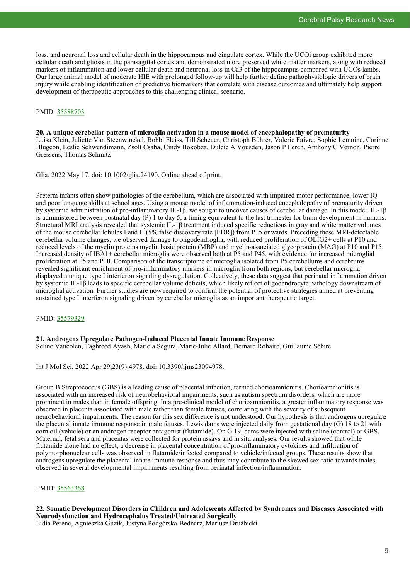loss, and neuronal loss and cellular death in the hippocampus and cingulate cortex. While the UCOi group exhibited more cellular death and gliosis in the parasagittal cortex and demonstrated more preserved white matter markers, along with reduced markers of inflammation and lower cellular death and neuronal loss in Ca3 of the hippocampus compared with UCOs lambs. Our large animal model of moderate HIE with prolonged follow-up will help further define pathophysiologic drivers of brain injury while enabling identification of predictive biomarkers that correlate with disease outcomes and ultimately help support development of therapeutic approaches to this challenging clinical scenario.

# PMID: [35588703](http://www.ncbi.nlm.nih.gov/pubmed/35588703)

**20. A unique cerebellar pattern of microglia activation in a mouse model of encephalopathy of prematurity** Luisa Klein, Juliette Van Steenwinckel, Bobbi Fleiss, Till Scheuer, Christoph Bührer, Valerie Faivre, Sophie Lemoine, Corinne Blugeon, Leslie Schwendimann, Zsolt Csaba, Cindy Bokobza, Dulcie A Vousden, Jason P Lerch, Anthony C Vernon, Pierre Gressens, Thomas Schmitz

Glia. 2022 May 17. doi: 10.1002/glia.24190. Online ahead of print.

Preterm infants often show pathologies of the cerebellum, which are associated with impaired motor performance, lower IQ and poor language skills at school ages. Using a mouse model of inflammation-induced encephalopathy of prematurity driven by systemic administration of pro-inflammatory IL-1β, we sought to uncover causes of cerebellar damage. In this model, IL-1β is administered between postnatal day (P) 1 to day 5, a timing equivalent to the last trimester for brain development in humans. Structural MRI analysis revealed that systemic IL-1β treatment induced specific reductions in gray and white matter volumes of the mouse cerebellar lobules I and II (5% false discovery rate [FDR]) from P15 onwards. Preceding these MRI-detectable cerebellar volume changes, we observed damage to oligodendroglia, with reduced proliferation of OLIG2+ cells at P10 and reduced levels of the myelin proteins myelin basic protein (MBP) and myelin-associated glycoprotein (MAG) at P10 and P15. Increased density of IBA1+ cerebellar microglia were observed both at P5 and P45, with evidence for increased microglial proliferation at P5 and P10. Comparison of the transcriptome of microglia isolated from P5 cerebellums and cerebrums revealed significant enrichment of pro-inflammatory markers in microglia from both regions, but cerebellar microglia displayed a unique type I interferon signaling dysregulation. Collectively, these data suggest that perinatal inflammation driven by systemic IL-1β leads to specific cerebellar volume deficits, which likely reflect oligodendrocyte pathology downstream of microglial activation. Further studies are now required to confirm the potential of protective strategies aimed at preventing sustained type I interferon signaling driven by cerebellar microglia as an important therapeutic target.

# PMID: [35579329](http://www.ncbi.nlm.nih.gov/pubmed/35579329)

#### **21. Androgens Upregulate Pathogen-Induced Placental Innate Immune Response**

Seline Vancolen, Taghreed Ayash, Mariela Segura, Marie-Julie Allard, Bernard Robaire, Guillaume Sébire

Int J Mol Sci. 2022 Apr 29;23(9):4978. doi: 10.3390/ijms23094978.

Group B Streptococcus (GBS) is a leading cause of placental infection, termed chorioamnionitis. Chorioamnionitis is associated with an increased risk of neurobehavioral impairments, such as autism spectrum disorders, which are more prominent in males than in female offspring. In a pre-clinical model of chorioamnionitis, a greater inflammatory response was observed in placenta associated with male rather than female fetuses, correlating with the severity of subsequent neurobehavioral impairments. The reason for this sex difference is not understood. Our hypothesis is that androgens upregulate the placental innate immune response in male fetuses. Lewis dams were injected daily from gestational day (G) 18 to 21 with corn oil (vehicle) or an androgen receptor antagonist (flutamide). On G 19, dams were injected with saline (control) or GBS. Maternal, fetal sera and placentas were collected for protein assays and in situ analyses. Our results showed that while flutamide alone had no effect, a decrease in placental concentration of pro-inflammatory cytokines and infiltration of polymorphonuclear cells was observed in flutamide/infected compared to vehicle/infected groups. These results show that androgens upregulate the placental innate immune response and thus may contribute to the skewed sex ratio towards males observed in several developmental impairments resulting from perinatal infection/inflammation.

# PMID: [35563368](http://www.ncbi.nlm.nih.gov/pubmed/35563368)

**22. Somatic Development Disorders in Children and Adolescents Affected by Syndromes and Diseases Associated with Neurodysfunction and Hydrocephalus Treated/Untreated Surgically** Lidia Perenc, Agnieszka Guzik, Justyna Podgórska-Bednarz, Mariusz Drużbicki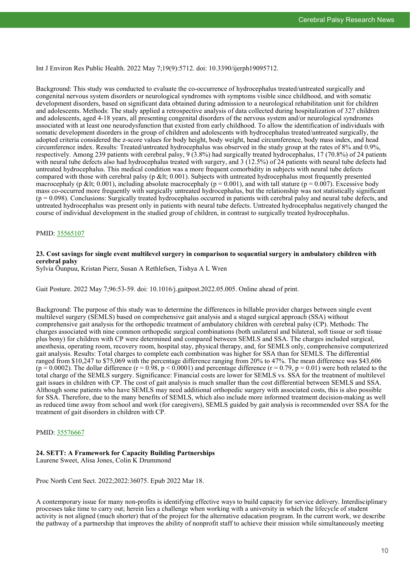Int J Environ Res Public Health. 2022 May 7;19(9):5712. doi: 10.3390/ijerph19095712.

Background: This study was conducted to evaluate the co-occurrence of hydrocephalus treated/untreated surgically and congenital nervous system disorders or neurological syndromes with symptoms visible since childhood, and with somatic development disorders, based on significant data obtained during admission to a neurological rehabilitation unit for children and adolescents. Methods: The study applied a retrospective analysis of data collected during hospitalization of 327 children and adolescents, aged 4-18 years, all presenting congenital disorders of the nervous system and/or neurological syndromes associated with at least one neurodysfunction that existed from early childhood. To allow the identification of individuals with somatic development disorders in the group of children and adolescents with hydrocephalus treated/untreated surgically, the adopted criteria considered the z-score values for body height, body weight, head circumference, body mass index, and head circumference index. Results: Treated/untreated hydrocephalus was observed in the study group at the rates of 8% and 0.9%, respectively. Among 239 patients with cerebral palsy, 9 (3.8%) had surgically treated hydrocephalus, 17 (70.8%) of 24 patients with neural tube defects also had hydrocephalus treated with surgery, and 3 (12.5%) of 24 patients with neural tube defects had untreated hydrocephalus. This medical condition was a more frequent comorbidity in subjects with neural tube defects compared with those with cerebral palsy (p < 0.001). Subjects with untreated hydrocephalus most frequently presented macrocephaly (p < 0.001), including absolute macrocephaly ( $p = 0.001$ ), and with tall stature ( $p = 0.007$ ). Excessive body mass co-occurred more frequently with surgically untreated hydrocephalus, but the relationship was not statistically significant  $(p = 0.098)$ . Conclusions: Surgically treated hydrocephalus occurred in patients with cerebral palsy and neural tube defects, and untreated hydrocephalus was present only in patients with neural tube defects. Untreated hydrocephalus negatively changed the course of individual development in the studied group of children, in contrast to surgically treated hydrocephalus.

# PMID: [35565107](http://www.ncbi.nlm.nih.gov/pubmed/35565107)

# **23. Cost savings for single event multilevel surgery in comparison to sequential surgery in ambulatory children with cerebral palsy**

Sylvia Õunpuu, Kristan Pierz, Susan A Rethlefsen, Tishya A L Wren

Gait Posture. 2022 May 7;96:53-59. doi: 10.1016/j.gaitpost.2022.05.005. Online ahead of print.

Background: The purpose of this study was to determine the differences in billable provider charges between single event multilevel surgery (SEMLS) based on comprehensive gait analysis and a staged surgical approach (SSA) without comprehensive gait analysis for the orthopedic treatment of ambulatory children with cerebral palsy (CP). Methods: The charges associated with nine common orthopedic surgical combinations (both unilateral and bilateral, soft tissue or soft tissue plus bony) for children with CP were determined and compared between SEMLS and SSA. The charges included surgical, anesthesia, operating room, recovery room, hospital stay, physical therapy, and, for SEMLS only, comprehensive computerized gait analysis. Results: Total charges to complete each combination was higher for SSA than for SEMLS. The differential ranged from \$10,247 to \$75,069 with the percentage difference ranging from 20% to 47%. The mean difference was \$43,606 ( $p = 0.0002$ ). The dollar difference ( $r = 0.98$ ,  $p < 0.0001$ ) and percentage difference ( $r = 0.79$ ,  $p = 0.01$ ) were both related to the total charge of the SEMLS surgery. Significance: Financial costs are lower for SEMLS vs. SSA for the treatment of multilevel gait issues in children with CP. The cost of gait analysis is much smaller than the cost differential between SEMLS and SSA. Although some patients who have SEMLS may need additional orthopedic surgery with associated costs, this is also possible for SSA. Therefore, due to the many benefits of SEMLS, which also include more informed treatment decision-making as well as reduced time away from school and work (for caregivers), SEMLS guided by gait analysis is recommended over SSA for the treatment of gait disorders in children with CP.

# PMID: [35576667](http://www.ncbi.nlm.nih.gov/pubmed/35576667)

# **24. SETT: A Framework for Capacity Building Partnerships**

Laurene Sweet, Alisa Jones, Colin K Drummond

Proc North Cent Sect. 2022;2022:36075. Epub 2022 Mar 18.

A contemporary issue for many non-profits is identifying effective ways to build capacity for service delivery. Interdisciplinary processes take time to carry out; herein lies a challenge when working with a university in which the lifecycle of student activity is not aligned (much shorter) that of the project for the alternative education program. In the current work, we describe the pathway of a partnership that improves the ability of nonprofit staff to achieve their mission while simultaneously meeting